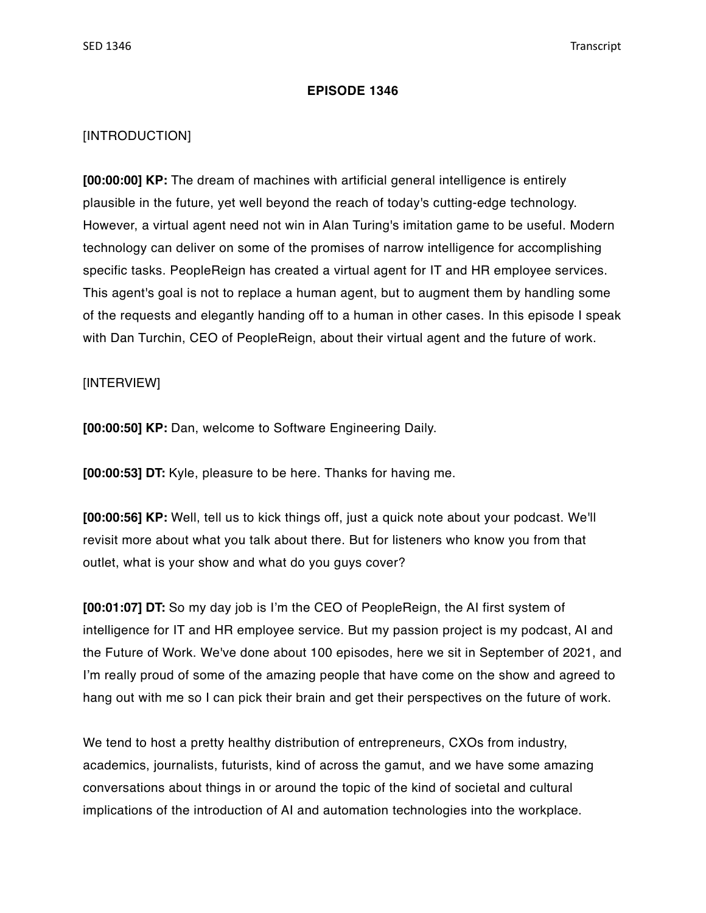## **EPISODE 1346**

## [INTRODUCTION]

**[00:00:00] KP:** The dream of machines with artificial general intelligence is entirely plausible in the future, yet well beyond the reach of today's cutting-edge technology. However, a virtual agent need not win in Alan Turing's imitation game to be useful. Modern technology can deliver on some of the promises of narrow intelligence for accomplishing specific tasks. PeopleReign has created a virtual agent for IT and HR employee services. This agent's goal is not to replace a human agent, but to augment them by handling some of the requests and elegantly handing off to a human in other cases. In this episode I speak with Dan Turchin, CEO of PeopleReign, about their virtual agent and the future of work.

## [INTERVIEW]

**[00:00:50] KP:** Dan, welcome to Software Engineering Daily.

**[00:00:53] DT:** Kyle, pleasure to be here. Thanks for having me.

**[00:00:56] KP:** Well, tell us to kick things off, just a quick note about your podcast. We'll revisit more about what you talk about there. But for listeners who know you from that outlet, what is your show and what do you guys cover?

**[00:01:07] DT:** So my day job is I'm the CEO of PeopleReign, the AI first system of intelligence for IT and HR employee service. But my passion project is my podcast, AI and the Future of Work. We've done about 100 episodes, here we sit in September of 2021, and I'm really proud of some of the amazing people that have come on the show and agreed to hang out with me so I can pick their brain and get their perspectives on the future of work.

We tend to host a pretty healthy distribution of entrepreneurs, CXOs from industry, academics, journalists, futurists, kind of across the gamut, and we have some amazing conversations about things in or around the topic of the kind of societal and cultural implications of the introduction of AI and automation technologies into the workplace.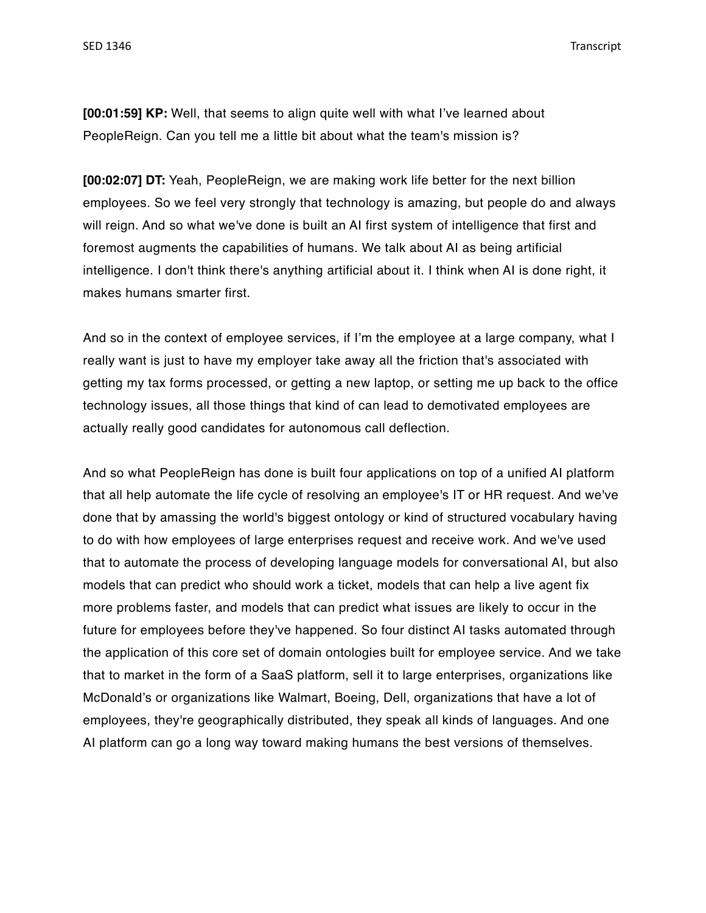**[00:01:59] KP:** Well, that seems to align quite well with what I've learned about PeopleReign. Can you tell me a little bit about what the team's mission is?

**[00:02:07] DT:** Yeah, PeopleReign, we are making work life better for the next billion employees. So we feel very strongly that technology is amazing, but people do and always will reign. And so what we've done is built an AI first system of intelligence that first and foremost augments the capabilities of humans. We talk about AI as being artificial intelligence. I don't think there's anything artificial about it. I think when AI is done right, it makes humans smarter first.

And so in the context of employee services, if I'm the employee at a large company, what I really want is just to have my employer take away all the friction that's associated with getting my tax forms processed, or getting a new laptop, or setting me up back to the office technology issues, all those things that kind of can lead to demotivated employees are actually really good candidates for autonomous call deflection.

And so what PeopleReign has done is built four applications on top of a unified AI platform that all help automate the life cycle of resolving an employee's IT or HR request. And we've done that by amassing the world's biggest ontology or kind of structured vocabulary having to do with how employees of large enterprises request and receive work. And we've used that to automate the process of developing language models for conversational AI, but also models that can predict who should work a ticket, models that can help a live agent fix more problems faster, and models that can predict what issues are likely to occur in the future for employees before they've happened. So four distinct AI tasks automated through the application of this core set of domain ontologies built for employee service. And we take that to market in the form of a SaaS platform, sell it to large enterprises, organizations like McDonald's or organizations like Walmart, Boeing, Dell, organizations that have a lot of employees, they're geographically distributed, they speak all kinds of languages. And one AI platform can go a long way toward making humans the best versions of themselves.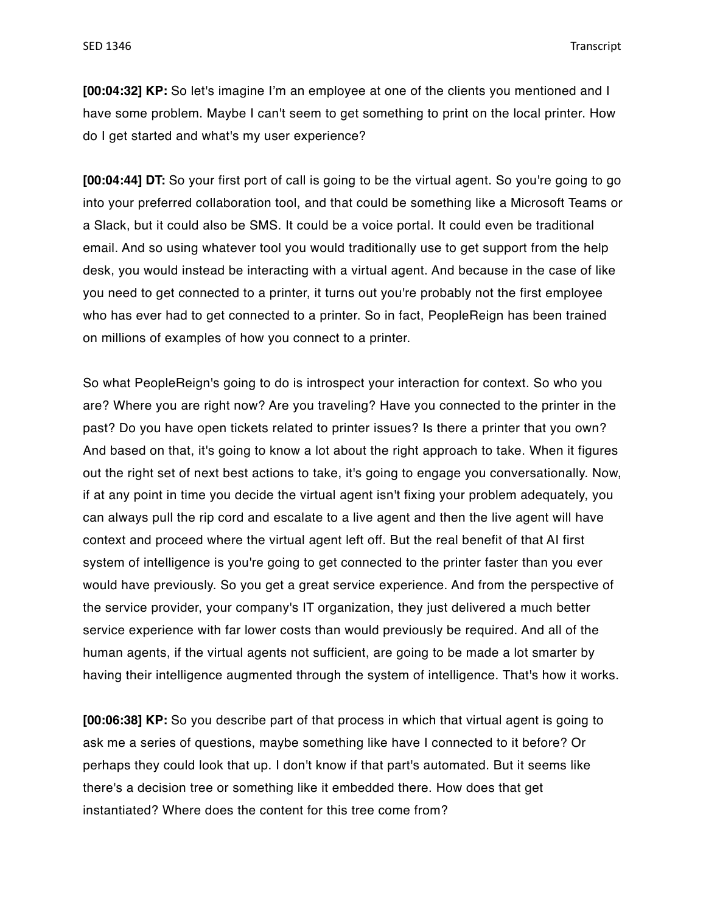**[00:04:32] KP:** So let's imagine I'm an employee at one of the clients you mentioned and I have some problem. Maybe I can't seem to get something to print on the local printer. How do I get started and what's my user experience?

**[00:04:44] DT:** So your first port of call is going to be the virtual agent. So you're going to go into your preferred collaboration tool, and that could be something like a Microsoft Teams or a Slack, but it could also be SMS. It could be a voice portal. It could even be traditional email. And so using whatever tool you would traditionally use to get support from the help desk, you would instead be interacting with a virtual agent. And because in the case of like you need to get connected to a printer, it turns out you're probably not the first employee who has ever had to get connected to a printer. So in fact, PeopleReign has been trained on millions of examples of how you connect to a printer.

So what PeopleReign's going to do is introspect your interaction for context. So who you are? Where you are right now? Are you traveling? Have you connected to the printer in the past? Do you have open tickets related to printer issues? Is there a printer that you own? And based on that, it's going to know a lot about the right approach to take. When it figures out the right set of next best actions to take, it's going to engage you conversationally. Now, if at any point in time you decide the virtual agent isn't fixing your problem adequately, you can always pull the rip cord and escalate to a live agent and then the live agent will have context and proceed where the virtual agent left off. But the real benefit of that AI first system of intelligence is you're going to get connected to the printer faster than you ever would have previously. So you get a great service experience. And from the perspective of the service provider, your company's IT organization, they just delivered a much better service experience with far lower costs than would previously be required. And all of the human agents, if the virtual agents not sufficient, are going to be made a lot smarter by having their intelligence augmented through the system of intelligence. That's how it works.

**[00:06:38] KP:** So you describe part of that process in which that virtual agent is going to ask me a series of questions, maybe something like have I connected to it before? Or perhaps they could look that up. I don't know if that part's automated. But it seems like there's a decision tree or something like it embedded there. How does that get instantiated? Where does the content for this tree come from?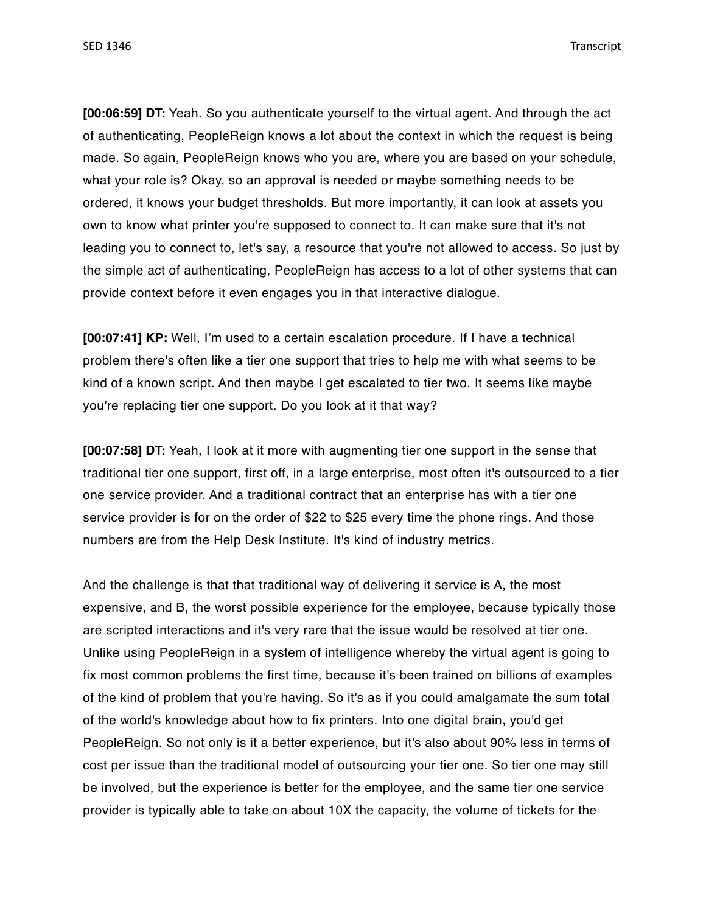**[00:06:59] DT:** Yeah. So you authenticate yourself to the virtual agent. And through the act of authenticating, PeopleReign knows a lot about the context in which the request is being made. So again, PeopleReign knows who you are, where you are based on your schedule, what your role is? Okay, so an approval is needed or maybe something needs to be ordered, it knows your budget thresholds. But more importantly, it can look at assets you own to know what printer you're supposed to connect to. It can make sure that it's not leading you to connect to, let's say, a resource that you're not allowed to access. So just by the simple act of authenticating, PeopleReign has access to a lot of other systems that can provide context before it even engages you in that interactive dialogue.

**[00:07:41] KP:** Well, I'm used to a certain escalation procedure. If I have a technical problem there's often like a tier one support that tries to help me with what seems to be kind of a known script. And then maybe I get escalated to tier two. It seems like maybe you're replacing tier one support. Do you look at it that way?

**[00:07:58] DT:** Yeah, I look at it more with augmenting tier one support in the sense that traditional tier one support, first off, in a large enterprise, most often it's outsourced to a tier one service provider. And a traditional contract that an enterprise has with a tier one service provider is for on the order of \$22 to \$25 every time the phone rings. And those numbers are from the Help Desk Institute. It's kind of industry metrics.

And the challenge is that that traditional way of delivering it service is A, the most expensive, and B, the worst possible experience for the employee, because typically those are scripted interactions and it's very rare that the issue would be resolved at tier one. Unlike using PeopleReign in a system of intelligence whereby the virtual agent is going to fix most common problems the first time, because it's been trained on billions of examples of the kind of problem that you're having. So it's as if you could amalgamate the sum total of the world's knowledge about how to fix printers. Into one digital brain, you'd get PeopleReign. So not only is it a better experience, but it's also about 90% less in terms of cost per issue than the traditional model of outsourcing your tier one. So tier one may still be involved, but the experience is better for the employee, and the same tier one service provider is typically able to take on about 10X the capacity, the volume of tickets for the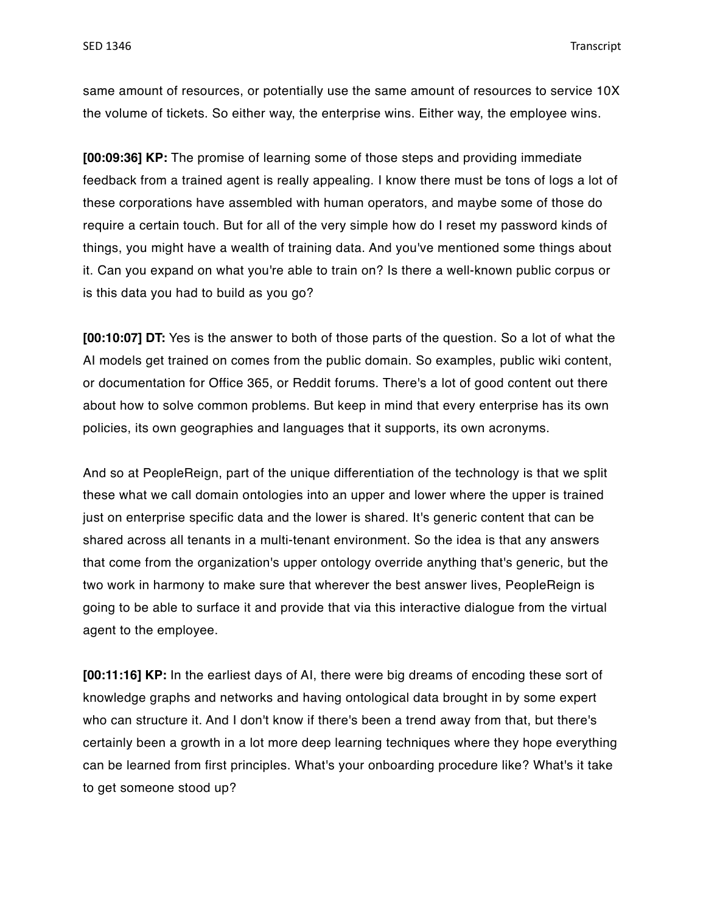same amount of resources, or potentially use the same amount of resources to service 10X the volume of tickets. So either way, the enterprise wins. Either way, the employee wins.

**[00:09:36] KP:** The promise of learning some of those steps and providing immediate feedback from a trained agent is really appealing. I know there must be tons of logs a lot of these corporations have assembled with human operators, and maybe some of those do require a certain touch. But for all of the very simple how do I reset my password kinds of things, you might have a wealth of training data. And you've mentioned some things about it. Can you expand on what you're able to train on? Is there a well-known public corpus or is this data you had to build as you go?

**[00:10:07] DT:** Yes is the answer to both of those parts of the question. So a lot of what the AI models get trained on comes from the public domain. So examples, public wiki content, or documentation for Office 365, or Reddit forums. There's a lot of good content out there about how to solve common problems. But keep in mind that every enterprise has its own policies, its own geographies and languages that it supports, its own acronyms.

And so at PeopleReign, part of the unique differentiation of the technology is that we split these what we call domain ontologies into an upper and lower where the upper is trained just on enterprise specific data and the lower is shared. It's generic content that can be shared across all tenants in a multi-tenant environment. So the idea is that any answers that come from the organization's upper ontology override anything that's generic, but the two work in harmony to make sure that wherever the best answer lives, PeopleReign is going to be able to surface it and provide that via this interactive dialogue from the virtual agent to the employee.

**[00:11:16] KP:** In the earliest days of AI, there were big dreams of encoding these sort of knowledge graphs and networks and having ontological data brought in by some expert who can structure it. And I don't know if there's been a trend away from that, but there's certainly been a growth in a lot more deep learning techniques where they hope everything can be learned from first principles. What's your onboarding procedure like? What's it take to get someone stood up?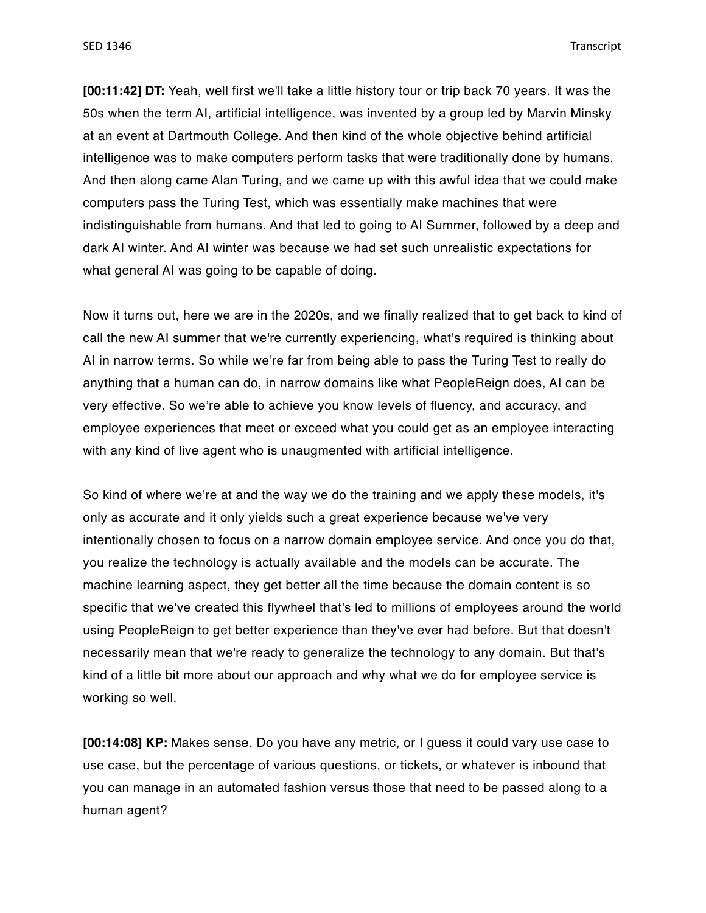**[00:11:42] DT:** Yeah, well first we'll take a little history tour or trip back 70 years. It was the 50s when the term AI, artificial intelligence, was invented by a group led by Marvin Minsky at an event at Dartmouth College. And then kind of the whole objective behind artificial intelligence was to make computers perform tasks that were traditionally done by humans. And then along came Alan Turing, and we came up with this awful idea that we could make computers pass the Turing Test, which was essentially make machines that were indistinguishable from humans. And that led to going to AI Summer, followed by a deep and dark AI winter. And AI winter was because we had set such unrealistic expectations for what general AI was going to be capable of doing.

Now it turns out, here we are in the 2020s, and we finally realized that to get back to kind of call the new AI summer that we're currently experiencing, what's required is thinking about AI in narrow terms. So while we're far from being able to pass the Turing Test to really do anything that a human can do, in narrow domains like what PeopleReign does, AI can be very effective. So we're able to achieve you know levels of fluency, and accuracy, and employee experiences that meet or exceed what you could get as an employee interacting with any kind of live agent who is unaugmented with artificial intelligence.

So kind of where we're at and the way we do the training and we apply these models, it's only as accurate and it only yields such a great experience because we've very intentionally chosen to focus on a narrow domain employee service. And once you do that, you realize the technology is actually available and the models can be accurate. The machine learning aspect, they get better all the time because the domain content is so specific that we've created this flywheel that's led to millions of employees around the world using PeopleReign to get better experience than they've ever had before. But that doesn't necessarily mean that we're ready to generalize the technology to any domain. But that's kind of a little bit more about our approach and why what we do for employee service is working so well.

**[00:14:08] KP:** Makes sense. Do you have any metric, or I guess it could vary use case to use case, but the percentage of various questions, or tickets, or whatever is inbound that you can manage in an automated fashion versus those that need to be passed along to a human agent?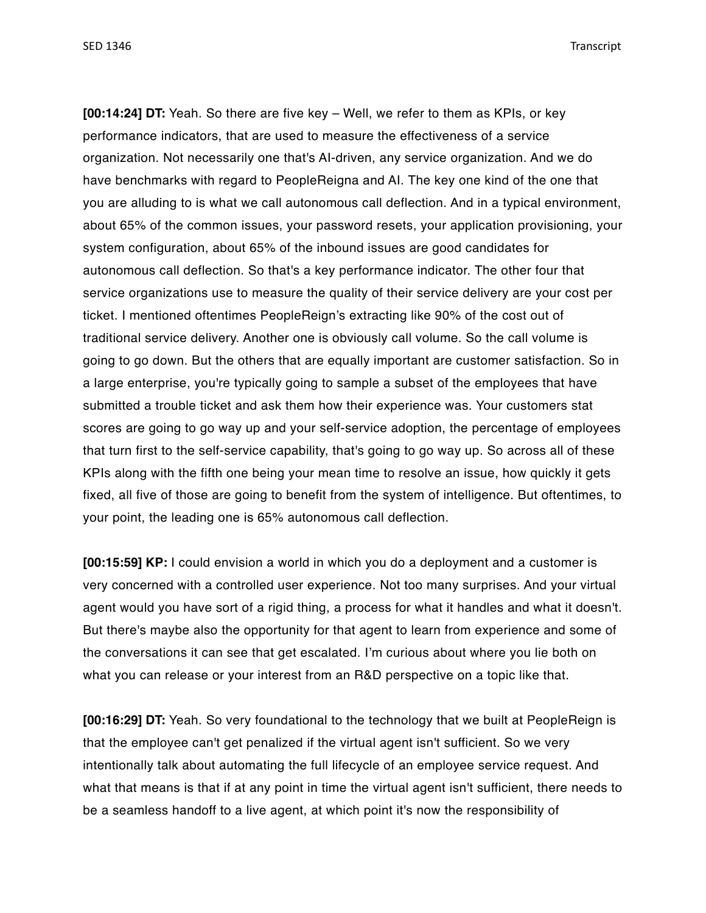**[00:14:24] DT:** Yeah. So there are five key – Well, we refer to them as KPIs, or key performance indicators, that are used to measure the effectiveness of a service organization. Not necessarily one that's AI-driven, any service organization. And we do have benchmarks with regard to PeopleReigna and AI. The key one kind of the one that you are alluding to is what we call autonomous call deflection. And in a typical environment, about 65% of the common issues, your password resets, your application provisioning, your system configuration, about 65% of the inbound issues are good candidates for autonomous call deflection. So that's a key performance indicator. The other four that service organizations use to measure the quality of their service delivery are your cost per ticket. I mentioned oftentimes PeopleReign's extracting like 90% of the cost out of traditional service delivery. Another one is obviously call volume. So the call volume is going to go down. But the others that are equally important are customer satisfaction. So in a large enterprise, you're typically going to sample a subset of the employees that have submitted a trouble ticket and ask them how their experience was. Your customers stat scores are going to go way up and your self-service adoption, the percentage of employees that turn first to the self-service capability, that's going to go way up. So across all of these KPIs along with the fifth one being your mean time to resolve an issue, how quickly it gets fixed, all five of those are going to benefit from the system of intelligence. But oftentimes, to your point, the leading one is 65% autonomous call deflection.

**[00:15:59] KP:** I could envision a world in which you do a deployment and a customer is very concerned with a controlled user experience. Not too many surprises. And your virtual agent would you have sort of a rigid thing, a process for what it handles and what it doesn't. But there's maybe also the opportunity for that agent to learn from experience and some of the conversations it can see that get escalated. I'm curious about where you lie both on what you can release or your interest from an R&D perspective on a topic like that.

**[00:16:29] DT:** Yeah. So very foundational to the technology that we built at PeopleReign is that the employee can't get penalized if the virtual agent isn't sufficient. So we very intentionally talk about automating the full lifecycle of an employee service request. And what that means is that if at any point in time the virtual agent isn't sufficient, there needs to be a seamless handoff to a live agent, at which point it's now the responsibility of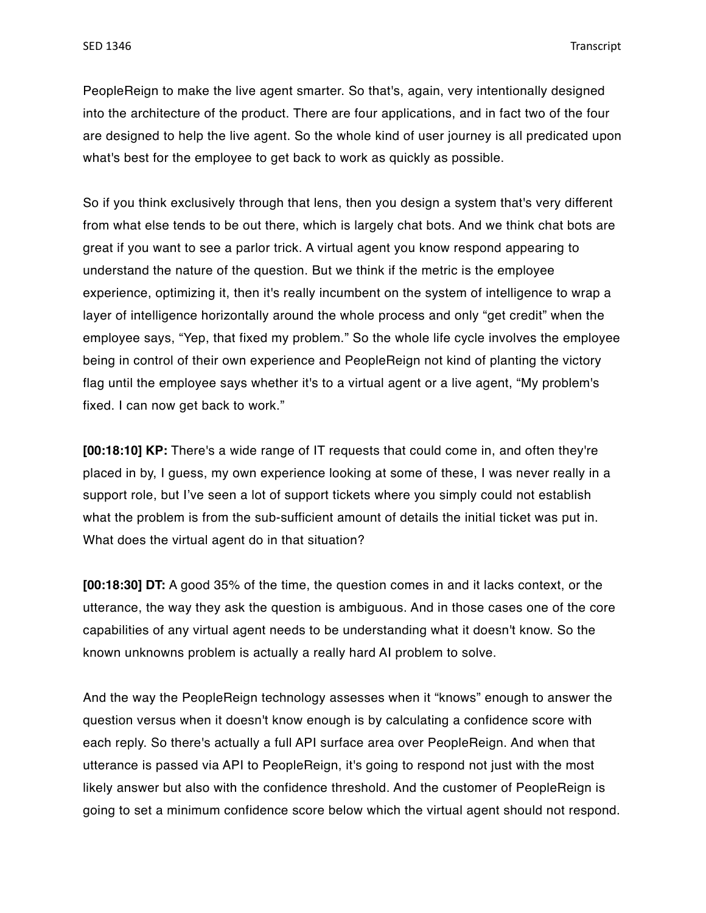PeopleReign to make the live agent smarter. So that's, again, very intentionally designed into the architecture of the product. There are four applications, and in fact two of the four are designed to help the live agent. So the whole kind of user journey is all predicated upon what's best for the employee to get back to work as quickly as possible.

So if you think exclusively through that lens, then you design a system that's very different from what else tends to be out there, which is largely chat bots. And we think chat bots are great if you want to see a parlor trick. A virtual agent you know respond appearing to understand the nature of the question. But we think if the metric is the employee experience, optimizing it, then it's really incumbent on the system of intelligence to wrap a layer of intelligence horizontally around the whole process and only "get credit" when the employee says, "Yep, that fixed my problem." So the whole life cycle involves the employee being in control of their own experience and PeopleReign not kind of planting the victory flag until the employee says whether it's to a virtual agent or a live agent, "My problem's fixed. I can now get back to work."

**[00:18:10] KP:** There's a wide range of IT requests that could come in, and often they're placed in by, I guess, my own experience looking at some of these, I was never really in a support role, but I've seen a lot of support tickets where you simply could not establish what the problem is from the sub-sufficient amount of details the initial ticket was put in. What does the virtual agent do in that situation?

**[00:18:30] DT:** A good 35% of the time, the question comes in and it lacks context, or the utterance, the way they ask the question is ambiguous. And in those cases one of the core capabilities of any virtual agent needs to be understanding what it doesn't know. So the known unknowns problem is actually a really hard AI problem to solve.

And the way the PeopleReign technology assesses when it "knows" enough to answer the question versus when it doesn't know enough is by calculating a confidence score with each reply. So there's actually a full API surface area over PeopleReign. And when that utterance is passed via API to PeopleReign, it's going to respond not just with the most likely answer but also with the confidence threshold. And the customer of PeopleReign is going to set a minimum confidence score below which the virtual agent should not respond.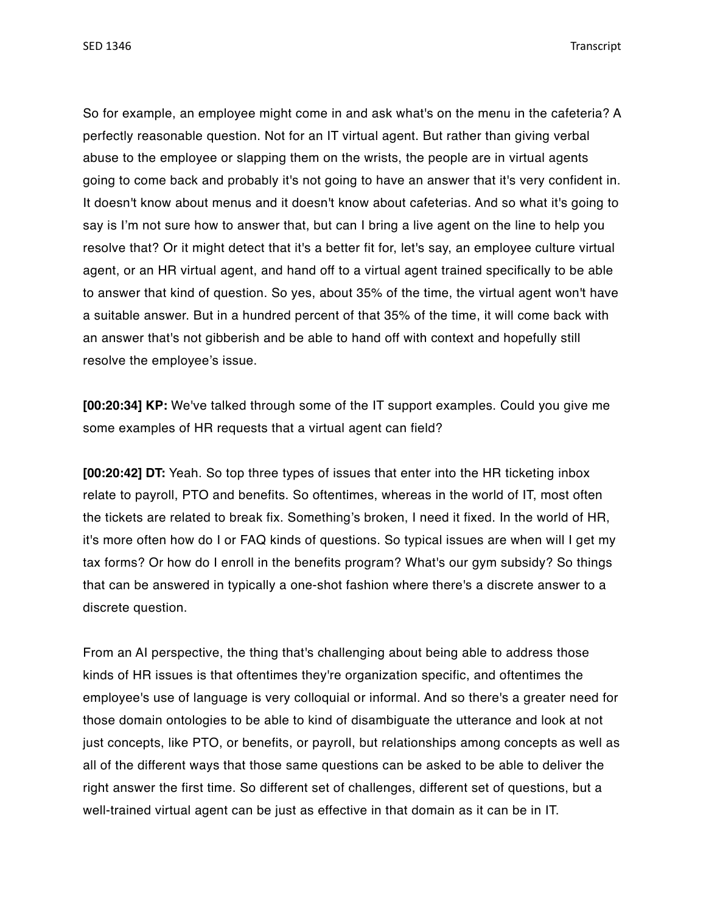So for example, an employee might come in and ask what's on the menu in the cafeteria? A perfectly reasonable question. Not for an IT virtual agent. But rather than giving verbal abuse to the employee or slapping them on the wrists, the people are in virtual agents going to come back and probably it's not going to have an answer that it's very confident in. It doesn't know about menus and it doesn't know about cafeterias. And so what it's going to say is I'm not sure how to answer that, but can I bring a live agent on the line to help you resolve that? Or it might detect that it's a better fit for, let's say, an employee culture virtual agent, or an HR virtual agent, and hand off to a virtual agent trained specifically to be able to answer that kind of question. So yes, about 35% of the time, the virtual agent won't have a suitable answer. But in a hundred percent of that 35% of the time, it will come back with an answer that's not gibberish and be able to hand off with context and hopefully still resolve the employee's issue.

**[00:20:34] KP:** We've talked through some of the IT support examples. Could you give me some examples of HR requests that a virtual agent can field?

**[00:20:42] DT:** Yeah. So top three types of issues that enter into the HR ticketing inbox relate to payroll, PTO and benefits. So oftentimes, whereas in the world of IT, most often the tickets are related to break fix. Something's broken, I need it fixed. In the world of HR, it's more often how do I or FAQ kinds of questions. So typical issues are when will I get my tax forms? Or how do I enroll in the benefits program? What's our gym subsidy? So things that can be answered in typically a one-shot fashion where there's a discrete answer to a discrete question.

From an AI perspective, the thing that's challenging about being able to address those kinds of HR issues is that oftentimes they're organization specific, and oftentimes the employee's use of language is very colloquial or informal. And so there's a greater need for those domain ontologies to be able to kind of disambiguate the utterance and look at not just concepts, like PTO, or benefits, or payroll, but relationships among concepts as well as all of the different ways that those same questions can be asked to be able to deliver the right answer the first time. So different set of challenges, different set of questions, but a well-trained virtual agent can be just as effective in that domain as it can be in IT.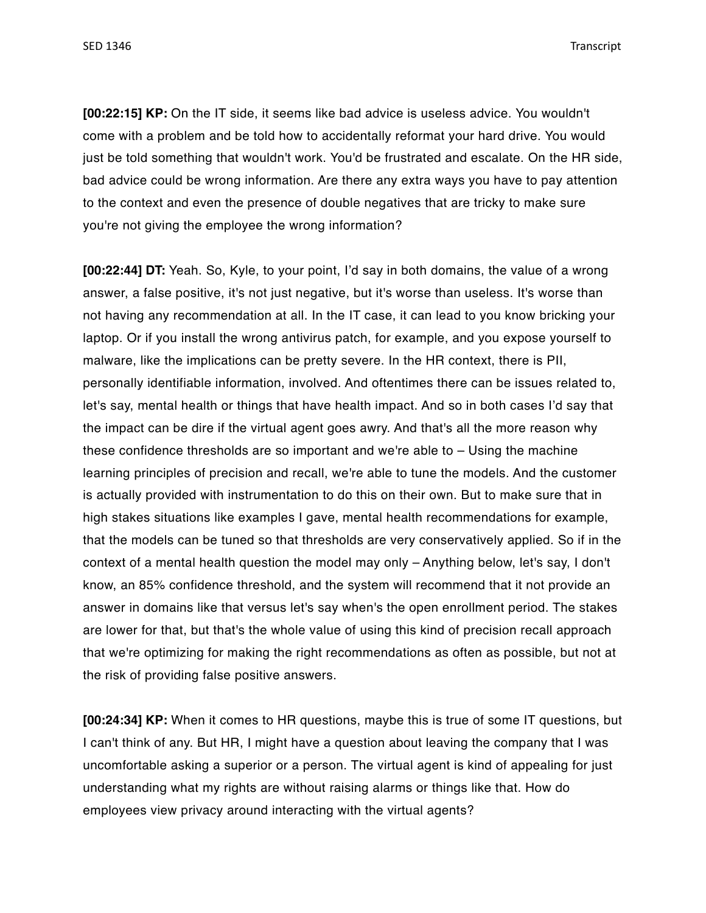**[00:22:15] KP:** On the IT side, it seems like bad advice is useless advice. You wouldn't come with a problem and be told how to accidentally reformat your hard drive. You would just be told something that wouldn't work. You'd be frustrated and escalate. On the HR side, bad advice could be wrong information. Are there any extra ways you have to pay attention to the context and even the presence of double negatives that are tricky to make sure you're not giving the employee the wrong information?

**[00:22:44] DT:** Yeah. So, Kyle, to your point, I'd say in both domains, the value of a wrong answer, a false positive, it's not just negative, but it's worse than useless. It's worse than not having any recommendation at all. In the IT case, it can lead to you know bricking your laptop. Or if you install the wrong antivirus patch, for example, and you expose yourself to malware, like the implications can be pretty severe. In the HR context, there is PII, personally identifiable information, involved. And oftentimes there can be issues related to, let's say, mental health or things that have health impact. And so in both cases I'd say that the impact can be dire if the virtual agent goes awry. And that's all the more reason why these confidence thresholds are so important and we're able to – Using the machine learning principles of precision and recall, we're able to tune the models. And the customer is actually provided with instrumentation to do this on their own. But to make sure that in high stakes situations like examples I gave, mental health recommendations for example, that the models can be tuned so that thresholds are very conservatively applied. So if in the context of a mental health question the model may only – Anything below, let's say, I don't know, an 85% confidence threshold, and the system will recommend that it not provide an answer in domains like that versus let's say when's the open enrollment period. The stakes are lower for that, but that's the whole value of using this kind of precision recall approach that we're optimizing for making the right recommendations as often as possible, but not at the risk of providing false positive answers.

**[00:24:34] KP:** When it comes to HR questions, maybe this is true of some IT questions, but I can't think of any. But HR, I might have a question about leaving the company that I was uncomfortable asking a superior or a person. The virtual agent is kind of appealing for just understanding what my rights are without raising alarms or things like that. How do employees view privacy around interacting with the virtual agents?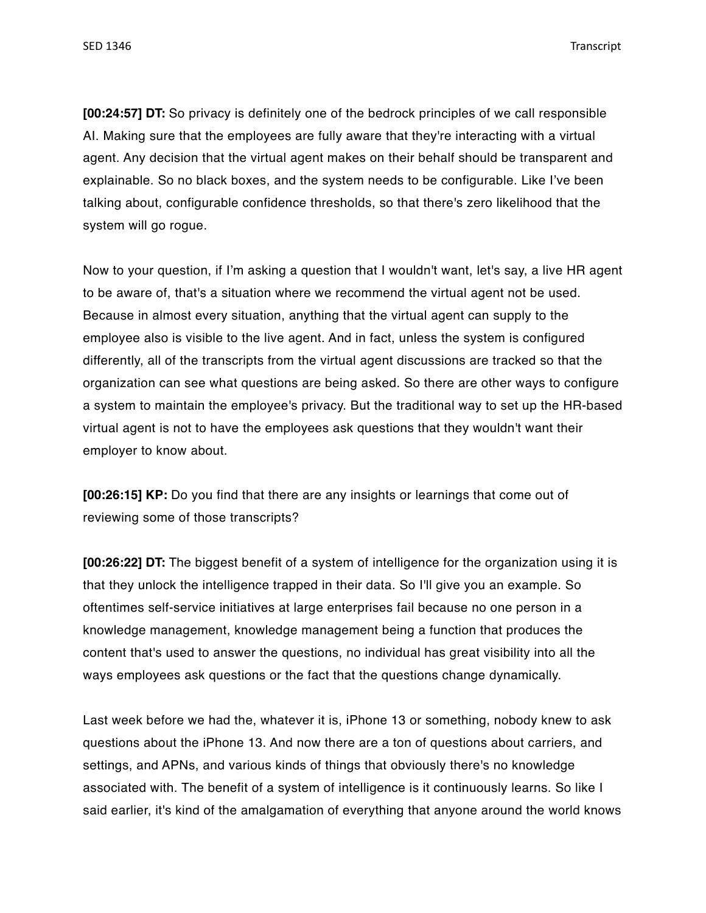**[00:24:57] DT:** So privacy is definitely one of the bedrock principles of we call responsible AI. Making sure that the employees are fully aware that they're interacting with a virtual agent. Any decision that the virtual agent makes on their behalf should be transparent and explainable. So no black boxes, and the system needs to be configurable. Like I've been talking about, configurable confidence thresholds, so that there's zero likelihood that the system will go rogue.

Now to your question, if I'm asking a question that I wouldn't want, let's say, a live HR agent to be aware of, that's a situation where we recommend the virtual agent not be used. Because in almost every situation, anything that the virtual agent can supply to the employee also is visible to the live agent. And in fact, unless the system is configured differently, all of the transcripts from the virtual agent discussions are tracked so that the organization can see what questions are being asked. So there are other ways to configure a system to maintain the employee's privacy. But the traditional way to set up the HR-based virtual agent is not to have the employees ask questions that they wouldn't want their employer to know about.

**[00:26:15] KP:** Do you find that there are any insights or learnings that come out of reviewing some of those transcripts?

**[00:26:22] DT:** The biggest benefit of a system of intelligence for the organization using it is that they unlock the intelligence trapped in their data. So I'll give you an example. So oftentimes self-service initiatives at large enterprises fail because no one person in a knowledge management, knowledge management being a function that produces the content that's used to answer the questions, no individual has great visibility into all the ways employees ask questions or the fact that the questions change dynamically.

Last week before we had the, whatever it is, iPhone 13 or something, nobody knew to ask questions about the iPhone 13. And now there are a ton of questions about carriers, and settings, and APNs, and various kinds of things that obviously there's no knowledge associated with. The benefit of a system of intelligence is it continuously learns. So like I said earlier, it's kind of the amalgamation of everything that anyone around the world knows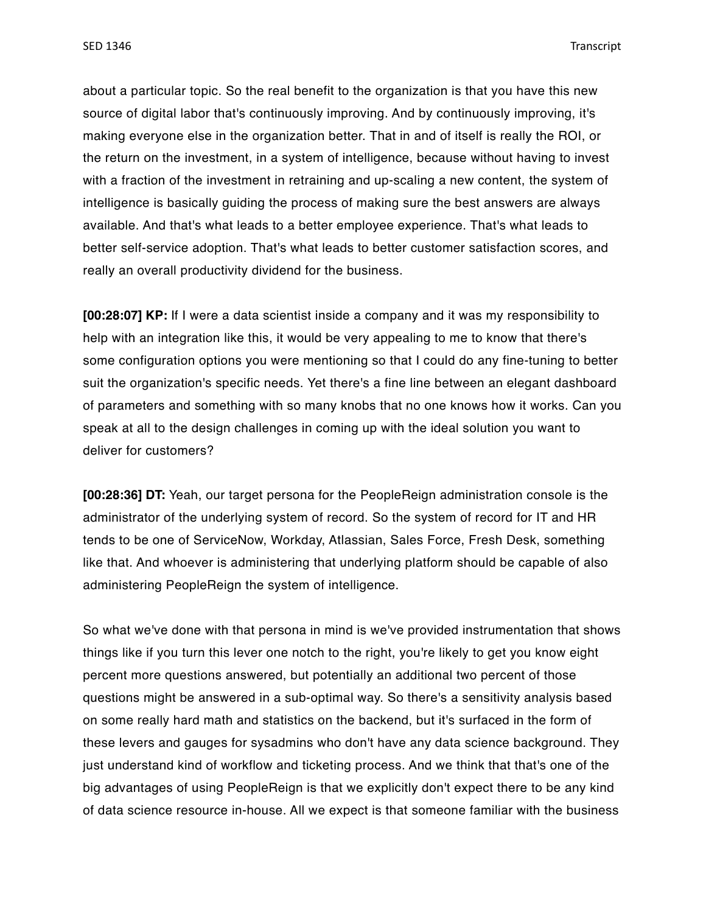about a particular topic. So the real benefit to the organization is that you have this new source of digital labor that's continuously improving. And by continuously improving, it's making everyone else in the organization better. That in and of itself is really the ROI, or the return on the investment, in a system of intelligence, because without having to invest with a fraction of the investment in retraining and up-scaling a new content, the system of intelligence is basically guiding the process of making sure the best answers are always available. And that's what leads to a better employee experience. That's what leads to better self-service adoption. That's what leads to better customer satisfaction scores, and really an overall productivity dividend for the business.

**[00:28:07] KP:** If I were a data scientist inside a company and it was my responsibility to help with an integration like this, it would be very appealing to me to know that there's some configuration options you were mentioning so that I could do any fine-tuning to better suit the organization's specific needs. Yet there's a fine line between an elegant dashboard of parameters and something with so many knobs that no one knows how it works. Can you speak at all to the design challenges in coming up with the ideal solution you want to deliver for customers?

**[00:28:36] DT:** Yeah, our target persona for the PeopleReign administration console is the administrator of the underlying system of record. So the system of record for IT and HR tends to be one of ServiceNow, Workday, Atlassian, Sales Force, Fresh Desk, something like that. And whoever is administering that underlying platform should be capable of also administering PeopleReign the system of intelligence.

So what we've done with that persona in mind is we've provided instrumentation that shows things like if you turn this lever one notch to the right, you're likely to get you know eight percent more questions answered, but potentially an additional two percent of those questions might be answered in a sub-optimal way. So there's a sensitivity analysis based on some really hard math and statistics on the backend, but it's surfaced in the form of these levers and gauges for sysadmins who don't have any data science background. They just understand kind of workflow and ticketing process. And we think that that's one of the big advantages of using PeopleReign is that we explicitly don't expect there to be any kind of data science resource in-house. All we expect is that someone familiar with the business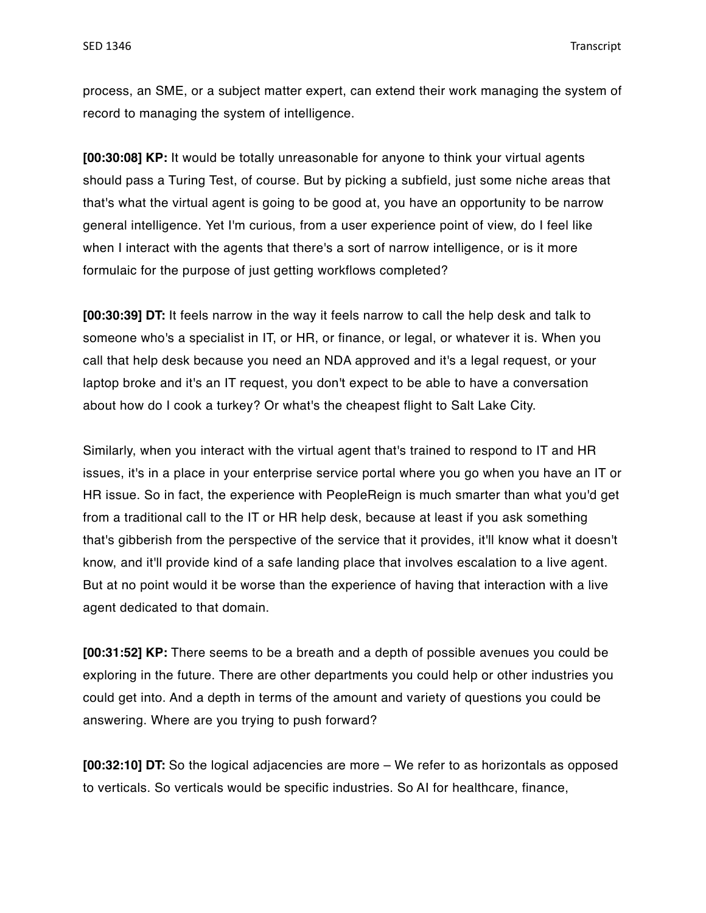process, an SME, or a subject matter expert, can extend their work managing the system of record to managing the system of intelligence.

**[00:30:08] KP:** It would be totally unreasonable for anyone to think your virtual agents should pass a Turing Test, of course. But by picking a subfield, just some niche areas that that's what the virtual agent is going to be good at, you have an opportunity to be narrow general intelligence. Yet I'm curious, from a user experience point of view, do I feel like when I interact with the agents that there's a sort of narrow intelligence, or is it more formulaic for the purpose of just getting workflows completed?

**[00:30:39] DT:** It feels narrow in the way it feels narrow to call the help desk and talk to someone who's a specialist in IT, or HR, or finance, or legal, or whatever it is. When you call that help desk because you need an NDA approved and it's a legal request, or your laptop broke and it's an IT request, you don't expect to be able to have a conversation about how do I cook a turkey? Or what's the cheapest flight to Salt Lake City.

Similarly, when you interact with the virtual agent that's trained to respond to IT and HR issues, it's in a place in your enterprise service portal where you go when you have an IT or HR issue. So in fact, the experience with PeopleReign is much smarter than what you'd get from a traditional call to the IT or HR help desk, because at least if you ask something that's gibberish from the perspective of the service that it provides, it'll know what it doesn't know, and it'll provide kind of a safe landing place that involves escalation to a live agent. But at no point would it be worse than the experience of having that interaction with a live agent dedicated to that domain.

**[00:31:52] KP:** There seems to be a breath and a depth of possible avenues you could be exploring in the future. There are other departments you could help or other industries you could get into. And a depth in terms of the amount and variety of questions you could be answering. Where are you trying to push forward?

**[00:32:10] DT:** So the logical adjacencies are more – We refer to as horizontals as opposed to verticals. So verticals would be specific industries. So AI for healthcare, finance,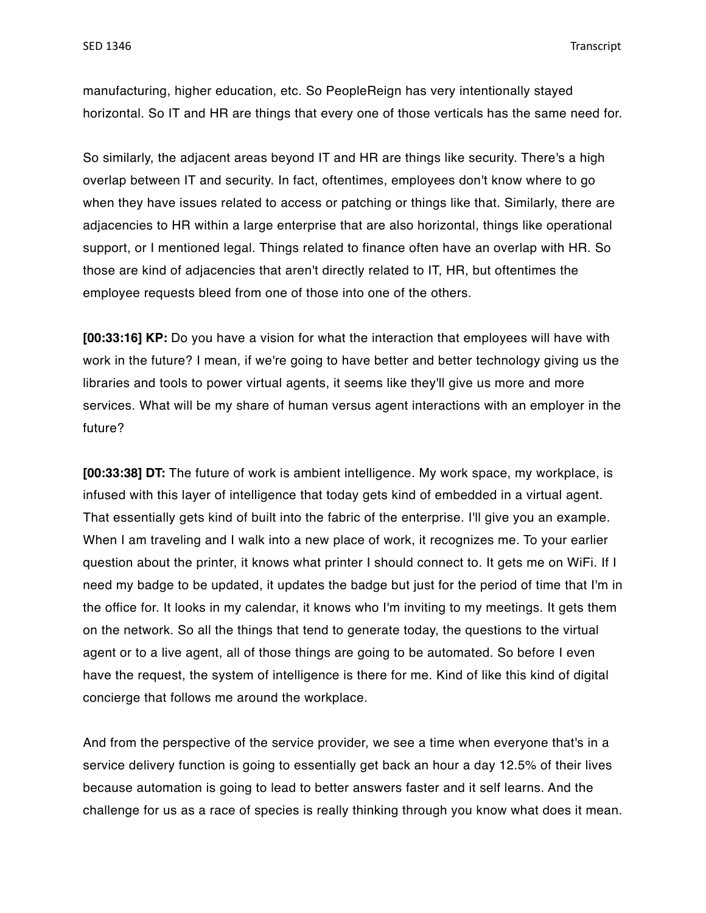manufacturing, higher education, etc. So PeopleReign has very intentionally stayed horizontal. So IT and HR are things that every one of those verticals has the same need for.

So similarly, the adjacent areas beyond IT and HR are things like security. There's a high overlap between IT and security. In fact, oftentimes, employees don't know where to go when they have issues related to access or patching or things like that. Similarly, there are adjacencies to HR within a large enterprise that are also horizontal, things like operational support, or I mentioned legal. Things related to finance often have an overlap with HR. So those are kind of adjacencies that aren't directly related to IT, HR, but oftentimes the employee requests bleed from one of those into one of the others.

**[00:33:16] KP:** Do you have a vision for what the interaction that employees will have with work in the future? I mean, if we're going to have better and better technology giving us the libraries and tools to power virtual agents, it seems like they'll give us more and more services. What will be my share of human versus agent interactions with an employer in the future?

**[00:33:38] DT:** The future of work is ambient intelligence. My work space, my workplace, is infused with this layer of intelligence that today gets kind of embedded in a virtual agent. That essentially gets kind of built into the fabric of the enterprise. I'll give you an example. When I am traveling and I walk into a new place of work, it recognizes me. To your earlier question about the printer, it knows what printer I should connect to. It gets me on WiFi. If I need my badge to be updated, it updates the badge but just for the period of time that I'm in the office for. It looks in my calendar, it knows who I'm inviting to my meetings. It gets them on the network. So all the things that tend to generate today, the questions to the virtual agent or to a live agent, all of those things are going to be automated. So before I even have the request, the system of intelligence is there for me. Kind of like this kind of digital concierge that follows me around the workplace.

And from the perspective of the service provider, we see a time when everyone that's in a service delivery function is going to essentially get back an hour a day 12.5% of their lives because automation is going to lead to better answers faster and it self learns. And the challenge for us as a race of species is really thinking through you know what does it mean.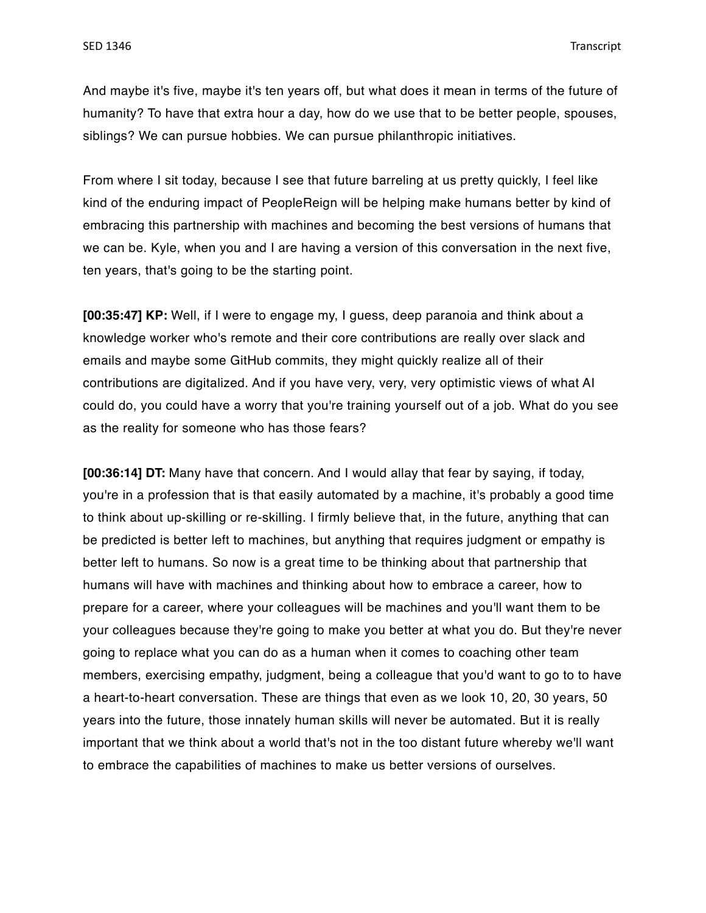And maybe it's five, maybe it's ten years off, but what does it mean in terms of the future of humanity? To have that extra hour a day, how do we use that to be better people, spouses, siblings? We can pursue hobbies. We can pursue philanthropic initiatives.

From where I sit today, because I see that future barreling at us pretty quickly, I feel like kind of the enduring impact of PeopleReign will be helping make humans better by kind of embracing this partnership with machines and becoming the best versions of humans that we can be. Kyle, when you and I are having a version of this conversation in the next five, ten years, that's going to be the starting point.

**[00:35:47] KP:** Well, if I were to engage my, I guess, deep paranoia and think about a knowledge worker who's remote and their core contributions are really over slack and emails and maybe some GitHub commits, they might quickly realize all of their contributions are digitalized. And if you have very, very, very optimistic views of what AI could do, you could have a worry that you're training yourself out of a job. What do you see as the reality for someone who has those fears?

**[00:36:14] DT:** Many have that concern. And I would allay that fear by saying, if today, you're in a profession that is that easily automated by a machine, it's probably a good time to think about up-skilling or re-skilling. I firmly believe that, in the future, anything that can be predicted is better left to machines, but anything that requires judgment or empathy is better left to humans. So now is a great time to be thinking about that partnership that humans will have with machines and thinking about how to embrace a career, how to prepare for a career, where your colleagues will be machines and you'll want them to be your colleagues because they're going to make you better at what you do. But they're never going to replace what you can do as a human when it comes to coaching other team members, exercising empathy, judgment, being a colleague that you'd want to go to to have a heart-to-heart conversation. These are things that even as we look 10, 20, 30 years, 50 years into the future, those innately human skills will never be automated. But it is really important that we think about a world that's not in the too distant future whereby we'll want to embrace the capabilities of machines to make us better versions of ourselves.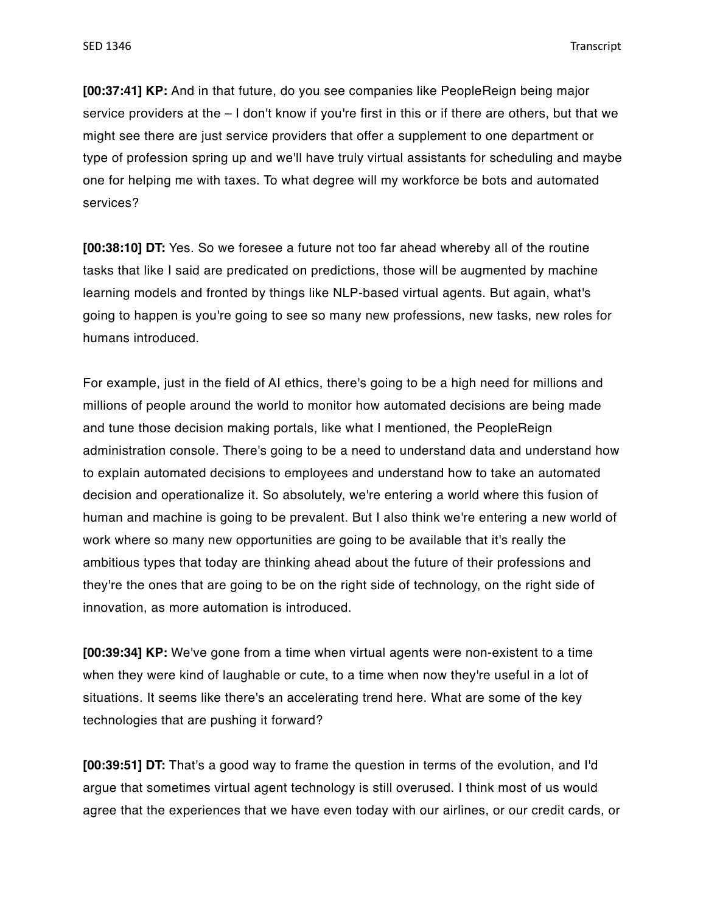**[00:37:41] KP:** And in that future, do you see companies like PeopleReign being major service providers at the – I don't know if you're first in this or if there are others, but that we might see there are just service providers that offer a supplement to one department or type of profession spring up and we'll have truly virtual assistants for scheduling and maybe one for helping me with taxes. To what degree will my workforce be bots and automated services?

**[00:38:10] DT:** Yes. So we foresee a future not too far ahead whereby all of the routine tasks that like I said are predicated on predictions, those will be augmented by machine learning models and fronted by things like NLP-based virtual agents. But again, what's going to happen is you're going to see so many new professions, new tasks, new roles for humans introduced.

For example, just in the field of AI ethics, there's going to be a high need for millions and millions of people around the world to monitor how automated decisions are being made and tune those decision making portals, like what I mentioned, the PeopleReign administration console. There's going to be a need to understand data and understand how to explain automated decisions to employees and understand how to take an automated decision and operationalize it. So absolutely, we're entering a world where this fusion of human and machine is going to be prevalent. But I also think we're entering a new world of work where so many new opportunities are going to be available that it's really the ambitious types that today are thinking ahead about the future of their professions and they're the ones that are going to be on the right side of technology, on the right side of innovation, as more automation is introduced.

**[00:39:34] KP:** We've gone from a time when virtual agents were non-existent to a time when they were kind of laughable or cute, to a time when now they're useful in a lot of situations. It seems like there's an accelerating trend here. What are some of the key technologies that are pushing it forward?

**[00:39:51] DT:** That's a good way to frame the question in terms of the evolution, and I'd argue that sometimes virtual agent technology is still overused. I think most of us would agree that the experiences that we have even today with our airlines, or our credit cards, or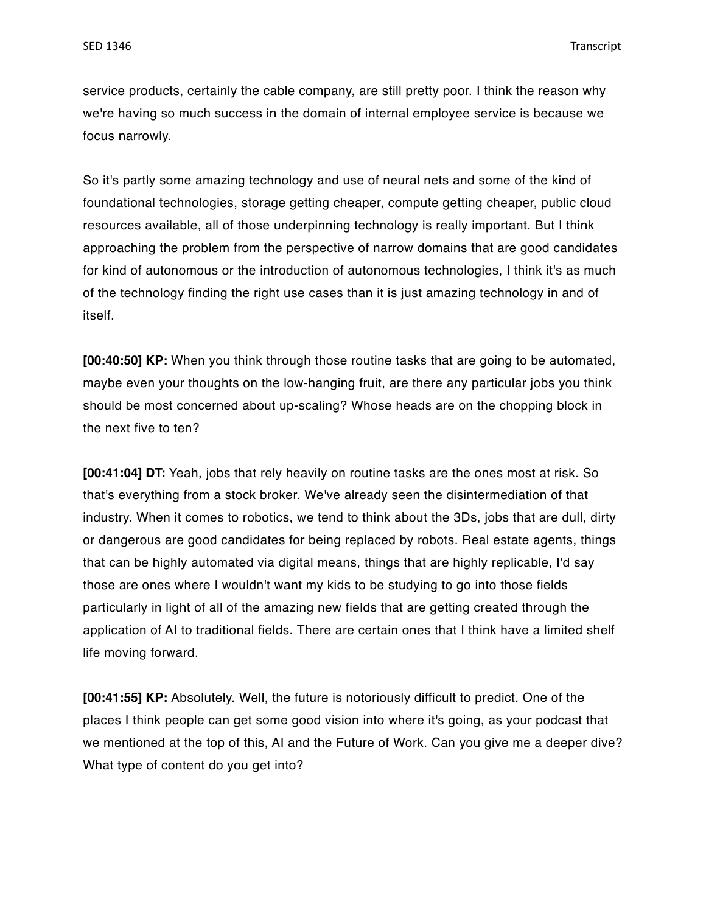service products, certainly the cable company, are still pretty poor. I think the reason why we're having so much success in the domain of internal employee service is because we focus narrowly.

So it's partly some amazing technology and use of neural nets and some of the kind of foundational technologies, storage getting cheaper, compute getting cheaper, public cloud resources available, all of those underpinning technology is really important. But I think approaching the problem from the perspective of narrow domains that are good candidates for kind of autonomous or the introduction of autonomous technologies, I think it's as much of the technology finding the right use cases than it is just amazing technology in and of itself.

**[00:40:50] KP:** When you think through those routine tasks that are going to be automated, maybe even your thoughts on the low-hanging fruit, are there any particular jobs you think should be most concerned about up-scaling? Whose heads are on the chopping block in the next five to ten?

**[00:41:04] DT:** Yeah, jobs that rely heavily on routine tasks are the ones most at risk. So that's everything from a stock broker. We've already seen the disintermediation of that industry. When it comes to robotics, we tend to think about the 3Ds, jobs that are dull, dirty or dangerous are good candidates for being replaced by robots. Real estate agents, things that can be highly automated via digital means, things that are highly replicable, I'd say those are ones where I wouldn't want my kids to be studying to go into those fields particularly in light of all of the amazing new fields that are getting created through the application of AI to traditional fields. There are certain ones that I think have a limited shelf life moving forward.

**[00:41:55] KP:** Absolutely. Well, the future is notoriously difficult to predict. One of the places I think people can get some good vision into where it's going, as your podcast that we mentioned at the top of this, AI and the Future of Work. Can you give me a deeper dive? What type of content do you get into?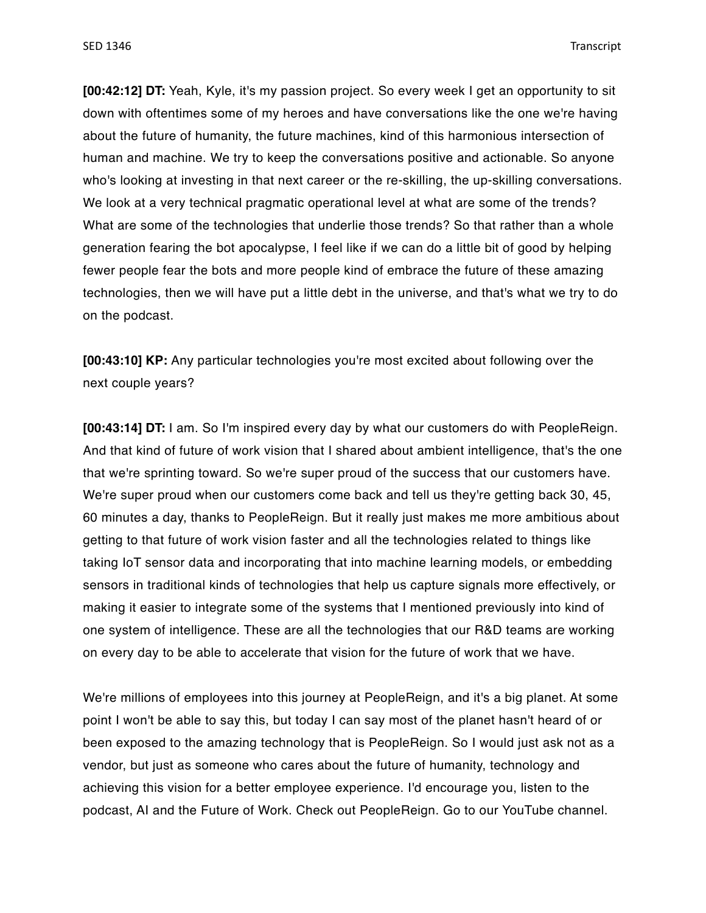**[00:42:12] DT:** Yeah, Kyle, it's my passion project. So every week I get an opportunity to sit down with oftentimes some of my heroes and have conversations like the one we're having about the future of humanity, the future machines, kind of this harmonious intersection of human and machine. We try to keep the conversations positive and actionable. So anyone who's looking at investing in that next career or the re-skilling, the up-skilling conversations. We look at a very technical pragmatic operational level at what are some of the trends? What are some of the technologies that underlie those trends? So that rather than a whole generation fearing the bot apocalypse, I feel like if we can do a little bit of good by helping fewer people fear the bots and more people kind of embrace the future of these amazing technologies, then we will have put a little debt in the universe, and that's what we try to do on the podcast.

**[00:43:10] KP:** Any particular technologies you're most excited about following over the next couple years?

**[00:43:14] DT:** I am. So I'm inspired every day by what our customers do with PeopleReign. And that kind of future of work vision that I shared about ambient intelligence, that's the one that we're sprinting toward. So we're super proud of the success that our customers have. We're super proud when our customers come back and tell us they're getting back 30, 45, 60 minutes a day, thanks to PeopleReign. But it really just makes me more ambitious about getting to that future of work vision faster and all the technologies related to things like taking IoT sensor data and incorporating that into machine learning models, or embedding sensors in traditional kinds of technologies that help us capture signals more effectively, or making it easier to integrate some of the systems that I mentioned previously into kind of one system of intelligence. These are all the technologies that our R&D teams are working on every day to be able to accelerate that vision for the future of work that we have.

We're millions of employees into this journey at PeopleReign, and it's a big planet. At some point I won't be able to say this, but today I can say most of the planet hasn't heard of or been exposed to the amazing technology that is PeopleReign. So I would just ask not as a vendor, but just as someone who cares about the future of humanity, technology and achieving this vision for a better employee experience. I'd encourage you, listen to the podcast, AI and the Future of Work. Check out PeopleReign. Go to our YouTube channel.